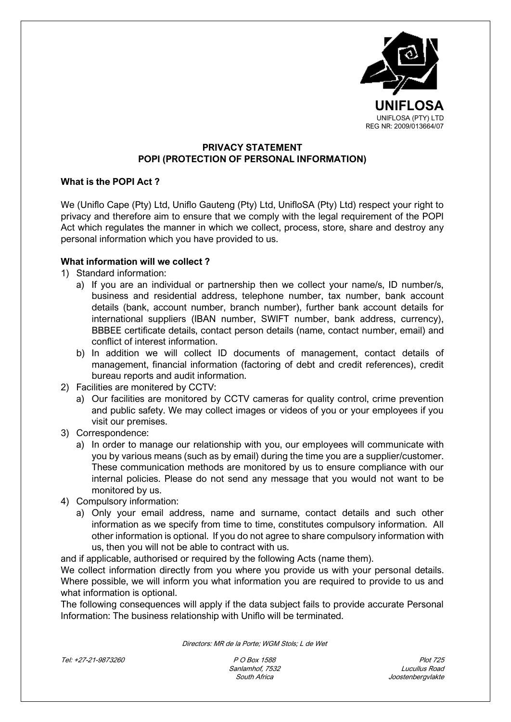

# **PRIVACY STATEMENT POPI (PROTECTION OF PERSONAL INFORMATION)**

### **What is the POPI Act ?**

We (Uniflo Cape (Pty) Ltd, Uniflo Gauteng (Pty) Ltd, UnifloSA (Pty) Ltd) respect your right to privacy and therefore aim to ensure that we comply with the legal requirement of the POPI Act which regulates the manner in which we collect, process, store, share and destroy any personal information which you have provided to us.

# **What information will we collect ?**

- 1) Standard information:
	- a) If you are an individual or partnership then we collect your name/s, ID number/s, business and residential address, telephone number, tax number, bank account details (bank, account number, branch number), further bank account details for international suppliers (IBAN number, SWIFT number, bank address, currency), BBBEE certificate details, contact person details (name, contact number, email) and conflict of interest information.
	- b) In addition we will collect ID documents of management, contact details of management, financial information (factoring of debt and credit references), credit bureau reports and audit information.
- 2) Facilities are monitered by CCTV:
	- a) Our facilities are monitored by CCTV cameras for quality control, crime prevention and public safety. We may collect images or videos of you or your employees if you visit our premises.
- 3) Correspondence:
	- a) In order to manage our relationship with you, our employees will communicate with you by various means (such as by email) during the time you are a supplier/customer. These communication methods are monitored by us to ensure compliance with our internal policies. Please do not send any message that you would not want to be monitored by us.
- 4) Compulsory information:
	- a) Only your email address, name and surname, contact details and such other information as we specify from time to time, constitutes compulsory information. All other information is optional. If you do not agree to share compulsory information with us, then you will not be able to contract with us.

and if applicable, authorised or required by the following Acts (name them).

We collect information directly from you where you provide us with your personal details. Where possible, we will inform you what information you are required to provide to us and what information is optional.

The following consequences will apply if the data subject fails to provide accurate Personal Information: The business relationship with Uniflo will be terminated.

Directors: MR de la Porte; WGM Stols; L de Wet

Tel: +27-21-9873260 P O Box 1588 Plot 725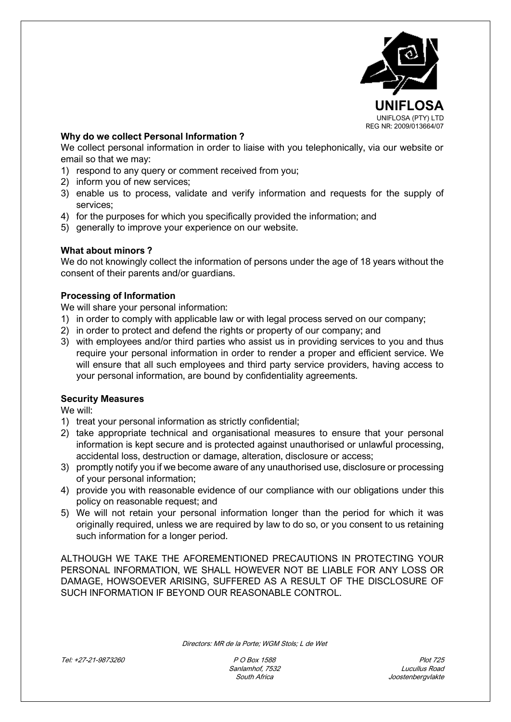

### **Why do we collect Personal Information ?**

We collect personal information in order to liaise with you telephonically, via our website or email so that we may:

- 1) respond to any query or comment received from you;
- 2) inform you of new services;
- 3) enable us to process, validate and verify information and requests for the supply of services;
- 4) for the purposes for which you specifically provided the information; and
- 5) generally to improve your experience on our website.

# **What about minors ?**

We do not knowingly collect the information of persons under the age of 18 years without the consent of their parents and/or guardians.

# **Processing of Information**

We will share your personal information:

- 1) in order to comply with applicable law or with legal process served on our company;
- 2) in order to protect and defend the rights or property of our company; and
- 3) with employees and/or third parties who assist us in providing services to you and thus require your personal information in order to render a proper and efficient service. We will ensure that all such employees and third party service providers, having access to your personal information, are bound by confidentiality agreements.

### **Security Measures**

We will:

- 1) treat your personal information as strictly confidential;
- 2) take appropriate technical and organisational measures to ensure that your personal information is kept secure and is protected against unauthorised or unlawful processing, accidental loss, destruction or damage, alteration, disclosure or access;
- 3) promptly notify you if we become aware of any unauthorised use, disclosure or processing of your personal information;
- 4) provide you with reasonable evidence of our compliance with our obligations under this policy on reasonable request; and
- 5) We will not retain your personal information longer than the period for which it was originally required, unless we are required by law to do so, or you consent to us retaining such information for a longer period.

ALTHOUGH WE TAKE THE AFOREMENTIONED PRECAUTIONS IN PROTECTING YOUR PERSONAL INFORMATION, WE SHALL HOWEVER NOT BE LIABLE FOR ANY LOSS OR DAMAGE, HOWSOEVER ARISING, SUFFERED AS A RESULT OF THE DISCLOSURE OF SUCH INFORMATION IF BEYOND OUR REASONABLE CONTROL.

Directors: MR de la Porte; WGM Stols; L de Wet

Tel: +27-21-9873260 P O Box 1588 Plot 725